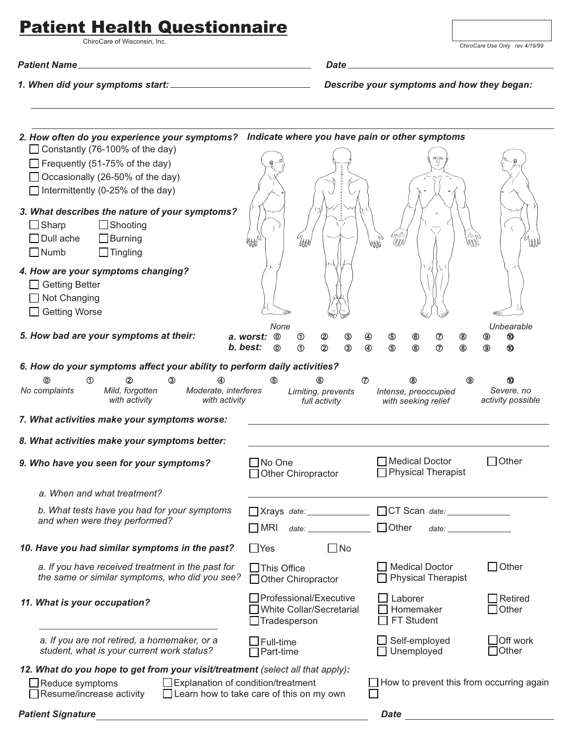## **Patient Health Questionnaire**

ChiroCare of Wisconsin, Inc.

*Patient Name Date*

*1. When did your symptoms start: Describe your symptoms and how they began:*

| 2. How often do you experience your symptoms? Indicate where you have pain or other symptoms                                                                      |                                                                                                                                                                                                                                                                                           |  |  |  |
|-------------------------------------------------------------------------------------------------------------------------------------------------------------------|-------------------------------------------------------------------------------------------------------------------------------------------------------------------------------------------------------------------------------------------------------------------------------------------|--|--|--|
| $\Box$ Constantly (76-100% of the day)<br>$\Box$ Frequently (51-75% of the day)<br>□ Occasionally (26-50% of the day)<br>$\Box$ Intermittently (0-25% of the day) |                                                                                                                                                                                                                                                                                           |  |  |  |
| 3. What describes the nature of your symptoms?<br>$\Box$ Sharp<br>$\Box$ Shooting<br>$\Box$ Dull ache<br>$\Box$ Burning<br>$\Box$ Numb<br>$\Box$ Tingling         | lAFA                                                                                                                                                                                                                                                                                      |  |  |  |
| 4. How are your symptoms changing?<br>□ Getting Better<br>$\Box$ Not Changing<br>□ Getting Worse                                                                  |                                                                                                                                                                                                                                                                                           |  |  |  |
| 5. How bad are your symptoms at their:                                                                                                                            | Unbearable<br>None<br>$^{\circ}$<br>◉<br>➁<br>⊕<br>℗<br>a. worst:<br>$^{\circ}$<br>◉<br>◉<br>b. best:<br>③<br>2<br>4<br>$\circledS$<br>$6$<br>℗<br>◉<br>⊚<br>➀<br>◉<br>⅏                                                                                                                  |  |  |  |
| 6. How do your symptoms affect your ability to perform daily activities?                                                                                          |                                                                                                                                                                                                                                                                                           |  |  |  |
| ന<br>$^{\circ}$<br>③<br>⋒<br>No complaints<br>Mild, forgotten<br>Moderate, interferes<br>with activity<br>with activity                                           | $^\circledR$<br>டு<br>⑼<br>60<br>(8)<br>Severe, no<br>Limiting, prevents<br>Intense, preoccupied<br>activity possible<br>with seeking relief<br>full activity                                                                                                                             |  |  |  |
| 7. What activities make your symptoms worse:                                                                                                                      |                                                                                                                                                                                                                                                                                           |  |  |  |
| 8. What activities make your symptoms better:                                                                                                                     |                                                                                                                                                                                                                                                                                           |  |  |  |
| 9. Who have you seen for your symptoms?                                                                                                                           | $\Box$ Other<br>Medical Doctor<br>$\Box$ No One<br>$\Box$ Physical Therapist<br>Other Chiropractor                                                                                                                                                                                        |  |  |  |
| a. When and what treatment?                                                                                                                                       |                                                                                                                                                                                                                                                                                           |  |  |  |
| b. What tests have you had for your symptoms<br>and when were they performed?                                                                                     | $\Box$ Xrays date: $\Box$<br>$\Box$ Other<br>$\Box$ MRI<br>date: when the contract of the contract of the contract of the contract of the contract of the contract of the contract of the contract of the contract of the contract of the contract of the contract of the contract of the |  |  |  |
| 10. Have you had similar symptoms in the past?                                                                                                                    | $\Box$ Yes<br>$\Box$ No                                                                                                                                                                                                                                                                   |  |  |  |
| a. If you have received treatment in the past for<br>the same or similar symptoms, who did you see?                                                               | $\Box$ Other<br><b>Medical Doctor</b><br>$\Box$ This Office<br><b>Physical Therapist</b><br>$\Box$ Other Chiropractor                                                                                                                                                                     |  |  |  |
| 11. What is your occupation?                                                                                                                                      | Professional/Executive<br>$\Box$ Laborer<br>$\Box$ Retired<br>$\Box$ Other<br>White Collar/Secretarial<br>Homemaker<br>FT Student<br>$\Box$ Tradesperson                                                                                                                                  |  |  |  |
| a. If you are not retired, a homemaker, or a<br>student, what is your current work status?                                                                        | Off work<br>$\Box$ Self-employed<br>$\Box$ Full-time<br><b>Other</b><br>$\Box$ Unemployed<br>$\Box$ Part-time                                                                                                                                                                             |  |  |  |
| 12. What do you hope to get from your visit/treatment (select all that apply):                                                                                    |                                                                                                                                                                                                                                                                                           |  |  |  |
| $\Box$ Explanation of condition/treatment<br>$\Box$ Reduce symptoms<br>Resume/increase activity                                                                   | How to prevent this from occurring again<br>$\Box$ Learn how to take care of this on my own                                                                                                                                                                                               |  |  |  |
| <b>Patient Signature</b>                                                                                                                                          | <b>Date</b>                                                                                                                                                                                                                                                                               |  |  |  |